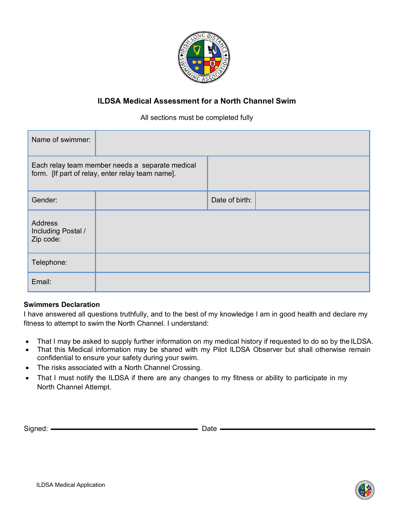

# **ILDSA Medical Assessment for a North Channel Swim**

### All sections must be completed fully

| Name of swimmer:                                                                                    |  |                |  |
|-----------------------------------------------------------------------------------------------------|--|----------------|--|
| Each relay team member needs a separate medical<br>form. [If part of relay, enter relay team name]. |  |                |  |
| Gender:                                                                                             |  | Date of birth: |  |
| Address<br>Including Postal /<br>Zip code:                                                          |  |                |  |
| Telephone:                                                                                          |  |                |  |
| Email:                                                                                              |  |                |  |

### **Swimmers Declaration**

I have answered all questions truthfully, and to the best of my knowledge I am in good health and declare my fitness to attempt to swim the North Channel. I understand:

- That I may be asked to supply further information on my medical history if requested to do so by the ILDSA.
- That this Medical information may be shared with my Pilot ILDSA Observer but shall otherwise remain confidential to ensure your safety during your swim.
- The risks associated with a North Channel Crossing.
- That I must notify the ILDSA if there are any changes to my fitness or ability to participate in my North Channel Attempt.

Signed: Date

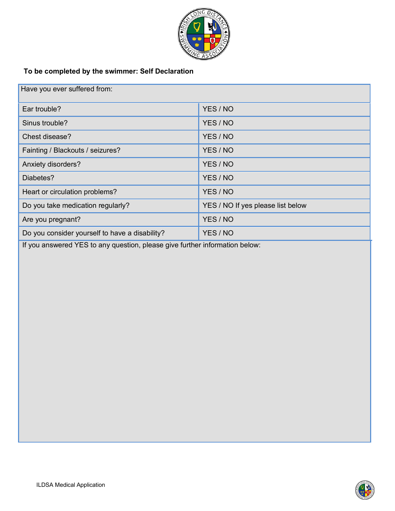

# **To be completed by the swimmer: Self Declaration**

| Have you ever suffered from:                   |                                   |  |  |  |
|------------------------------------------------|-----------------------------------|--|--|--|
| Ear trouble?                                   | YES / NO                          |  |  |  |
| Sinus trouble?                                 | YES / NO                          |  |  |  |
| Chest disease?                                 | YES / NO                          |  |  |  |
| Fainting / Blackouts / seizures?               | YES / NO                          |  |  |  |
| Anxiety disorders?                             | YES / NO                          |  |  |  |
| Diabetes?                                      | YES / NO                          |  |  |  |
| Heart or circulation problems?                 | YES / NO                          |  |  |  |
| Do you take medication regularly?              | YES / NO If yes please list below |  |  |  |
| Are you pregnant?                              | YES / NO                          |  |  |  |
| Do you consider yourself to have a disability? | YES / NO                          |  |  |  |

If you answered YES to any question, please give further information below:

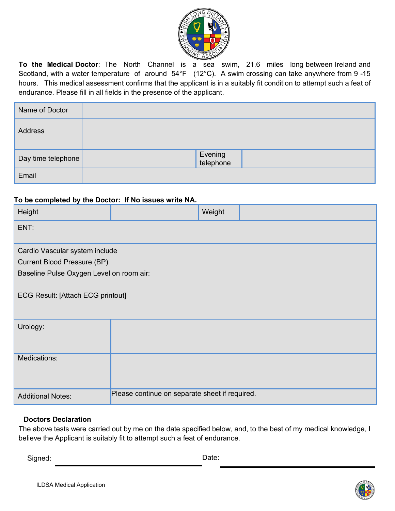

**To the Medical Doctor**: The North Channel is a sea swim, 21.6 miles long between Ireland and Scotland, with a water temperature of around 54°F (12°C). A swim crossing can take anywhere from 9-15 hours. This medical assessment confirms that the applicant is in a suitably fit condition to attempt such a feat of endurance. Please fill in all fields in the presence of the applicant.

| Name of Doctor     |                      |
|--------------------|----------------------|
| Address            |                      |
| Day time telephone | Evening<br>telephone |
| Email              |                      |

### **To be completed by the Doctor: If No issues write NA.**

| Height                                   |                                                | Weight |  |  |  |  |
|------------------------------------------|------------------------------------------------|--------|--|--|--|--|
| ENT:                                     |                                                |        |  |  |  |  |
| Cardio Vascular system include           |                                                |        |  |  |  |  |
| <b>Current Blood Pressure (BP)</b>       |                                                |        |  |  |  |  |
| Baseline Pulse Oxygen Level on room air: |                                                |        |  |  |  |  |
| <b>ECG Result: [Attach ECG printout]</b> |                                                |        |  |  |  |  |
| Urology:                                 |                                                |        |  |  |  |  |
| Medications:                             |                                                |        |  |  |  |  |
| <b>Additional Notes:</b>                 | Please continue on separate sheet if required. |        |  |  |  |  |

#### **Doctors Declaration**

The above tests were carried out by me on the date specified below, and, to the best of my medical knowledge, I believe the Applicant is suitably fit to attempt such a feat of endurance.

Signed: Date: